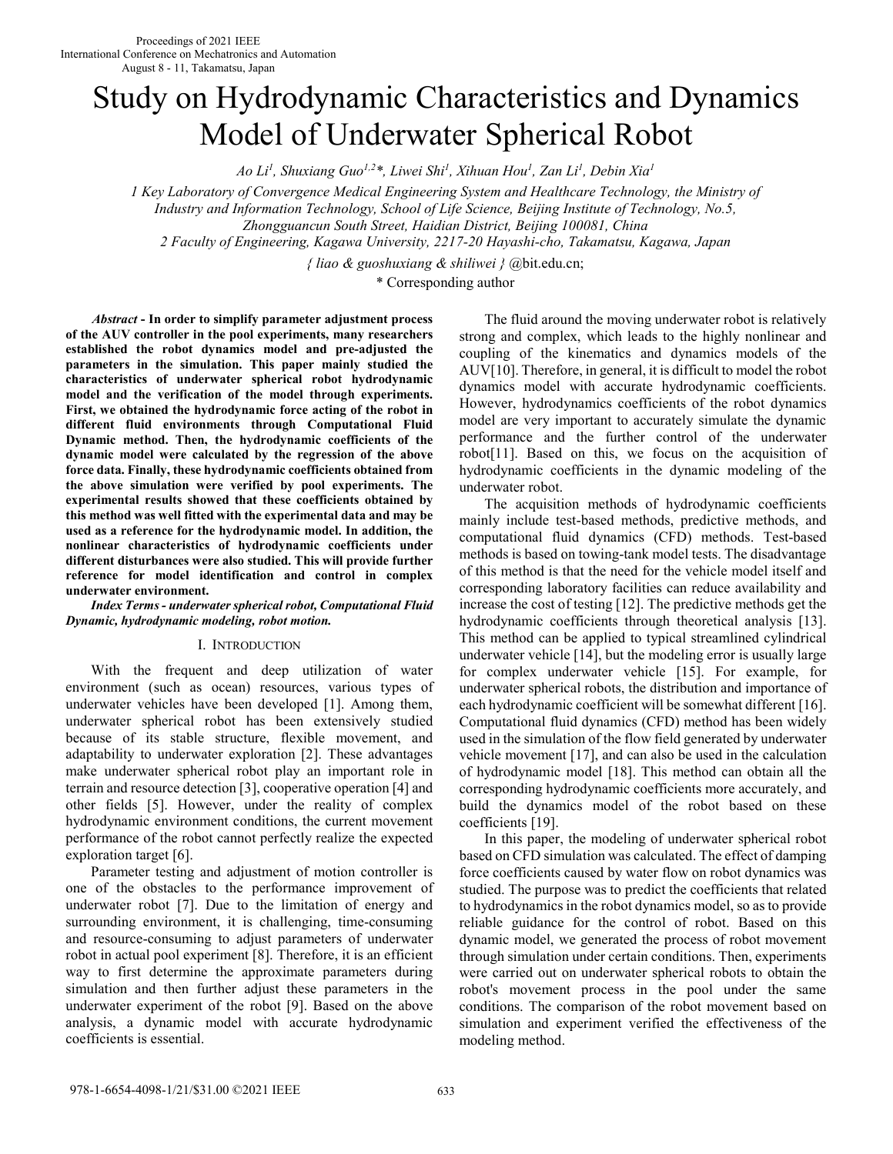# Study on Hydrodynamic Characteristics and Dynamics Model of Underwater Spherical Robot

*Ao Li<sup>1</sup> , Shuxiang Guo1,2\*, Liwei Shi<sup>1</sup> , Xihuan Hou<sup>1</sup> , Zan Li<sup>1</sup> , Debin Xia<sup>1</sup>*

*1 Key Laboratory of Convergence Medical Engineering System and Healthcare Technology, the Ministry of* 

*Industry and Information Technology, School of Life Science, Beijing Institute of Technology, No.5,* 

*Zhongguancun South Street, Haidian District, Beijing 100081, China* 

*2 Faculty of Engineering, Kagawa University, 2217-20 Hayashi-cho, Takamatsu, Kagawa, Japan* 

*{ liao & guoshuxiang & shiliwei }* @bit.edu.cn;

\* Corresponding author

*Abstract* **- In order to simplify parameter adjustment process of the AUV controller in the pool experiments, many researchers established the robot dynamics model and pre-adjusted the parameters in the simulation. This paper mainly studied the characteristics of underwater spherical robot hydrodynamic model and the verification of the model through experiments. First, we obtained the hydrodynamic force acting of the robot in different fluid environments through Computational Fluid Dynamic method. Then, the hydrodynamic coefficients of the dynamic model were calculated by the regression of the above force data. Finally, these hydrodynamic coefficients obtained from the above simulation were verified by pool experiments. The experimental results showed that these coefficients obtained by this method was well fitted with the experimental data and may be used as a reference for the hydrodynamic model. In addition, the nonlinear characteristics of hydrodynamic coefficients under different disturbances were also studied. This will provide further reference for model identification and control in complex underwater environment.** 

# *Index Terms - underwater spherical robot, Computational Fluid Dynamic, hydrodynamic modeling, robot motion.*

# I. INTRODUCTION

 With the frequent and deep utilization of water environment (such as ocean) resources, various types of underwater vehicles have been developed [1]. Among them, underwater spherical robot has been extensively studied because of its stable structure, flexible movement, and adaptability to underwater exploration [2]. These advantages make underwater spherical robot play an important role in terrain and resource detection [3], cooperative operation [4] and other fields [5]. However, under the reality of complex hydrodynamic environment conditions, the current movement performance of the robot cannot perfectly realize the expected exploration target [6].

 Parameter testing and adjustment of motion controller is one of the obstacles to the performance improvement of underwater robot [7]. Due to the limitation of energy and surrounding environment, it is challenging, time-consuming and resource-consuming to adjust parameters of underwater robot in actual pool experiment [8]. Therefore, it is an efficient way to first determine the approximate parameters during simulation and then further adjust these parameters in the underwater experiment of the robot [9]. Based on the above analysis, a dynamic model with accurate hydrodynamic coefficients is essential.

 The fluid around the moving underwater robot is relatively strong and complex, which leads to the highly nonlinear and coupling of the kinematics and dynamics models of the AUV[10]. Therefore, in general, it is difficult to model the robot dynamics model with accurate hydrodynamic coefficients. However, hydrodynamics coefficients of the robot dynamics model are very important to accurately simulate the dynamic performance and the further control of the underwater robot[11]. Based on this, we focus on the acquisition of hydrodynamic coefficients in the dynamic modeling of the underwater robot.

 The acquisition methods of hydrodynamic coefficients mainly include test-based methods, predictive methods, and computational fluid dynamics (CFD) methods. Test-based methods is based on towing-tank model tests. The disadvantage of this method is that the need for the vehicle model itself and corresponding laboratory facilities can reduce availability and increase the cost of testing [12]. The predictive methods get the hydrodynamic coefficients through theoretical analysis [13]. This method can be applied to typical streamlined cylindrical underwater vehicle [14], but the modeling error is usually large for complex underwater vehicle [15]. For example, for underwater spherical robots, the distribution and importance of each hydrodynamic coefficient will be somewhat different [16]. Computational fluid dynamics (CFD) method has been widely used in the simulation of the flow field generated by underwater vehicle movement [17], and can also be used in the calculation of hydrodynamic model [18]. This method can obtain all the corresponding hydrodynamic coefficients more accurately, and build the dynamics model of the robot based on these coefficients [19].

 In this paper, the modeling of underwater spherical robot based on CFD simulation was calculated. The effect of damping force coefficients caused by water flow on robot dynamics was studied. The purpose was to predict the coefficients that related to hydrodynamics in the robot dynamics model, so as to provide reliable guidance for the control of robot. Based on this dynamic model, we generated the process of robot movement through simulation under certain conditions. Then, experiments were carried out on underwater spherical robots to obtain the robot's movement process in the pool under the same conditions. The comparison of the robot movement based on simulation and experiment verified the effectiveness of the modeling method.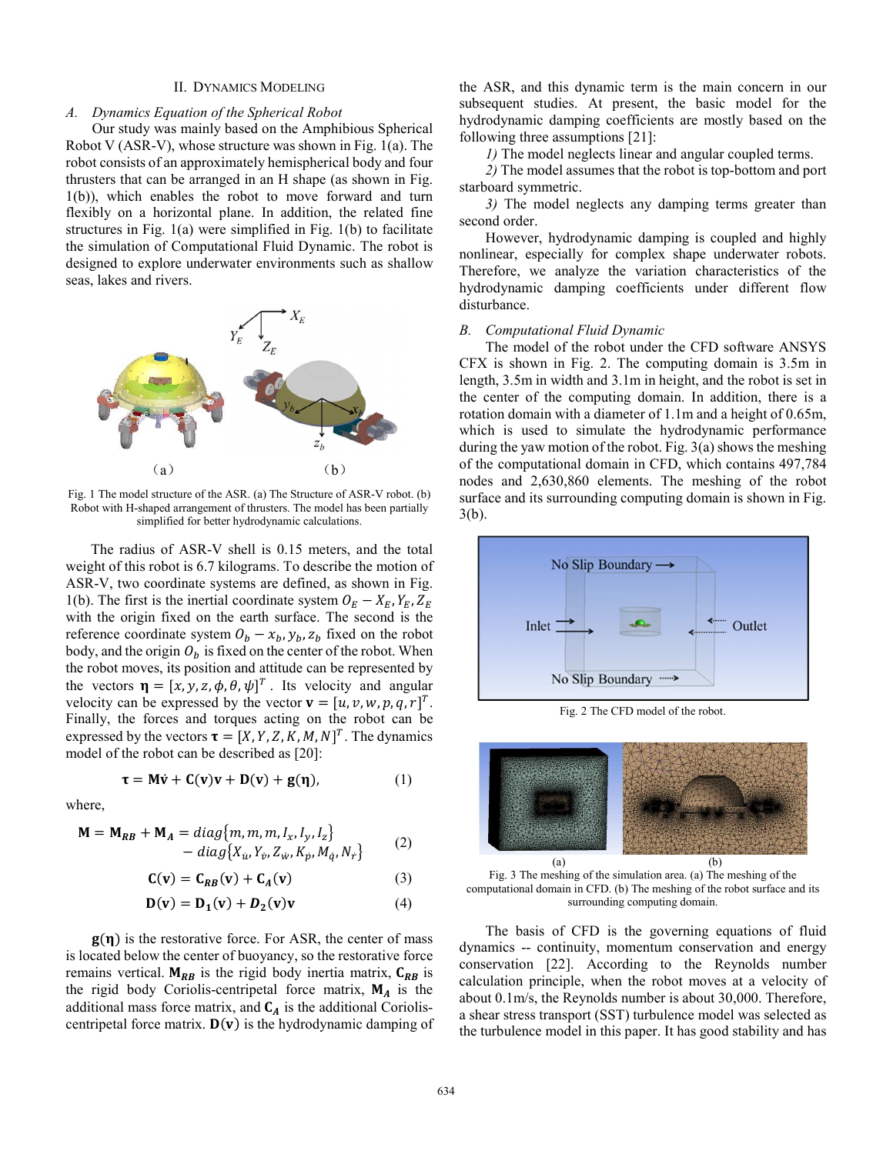# II. DYNAMICS MODELING

# *A. Dynamics Equation of the Spherical Robot*

 Our study was mainly based on the Amphibious Spherical Robot V (ASR-V), whose structure was shown in Fig. 1(a). The robot consists of an approximately hemispherical body and four thrusters that can be arranged in an H shape (as shown in Fig. 1(b)), which enables the robot to move forward and turn flexibly on a horizontal plane. In addition, the related fine structures in Fig. 1(a) were simplified in Fig. 1(b) to facilitate the simulation of Computational Fluid Dynamic. The robot is designed to explore underwater environments such as shallow seas, lakes and rivers.



Fig. 1 The model structure of the ASR. (a) The Structure of ASR-V robot. (b) Robot with H-shaped arrangement of thrusters. The model has been partially simplified for better hydrodynamic calculations.

 The radius of ASR-V shell is 0.15 meters, and the total weight of this robot is 6.7 kilograms. To describe the motion of ASR-V, two coordinate systems are defined, as shown in Fig. 1(b). The first is the inertial coordinate system  $O_E - X_E$ ,  $Y_E$ ,  $Z_E$  with the origin fixed on the earth surface. The second is the reference coordinate system  $O_b - x_b$ ,  $y_b$ ,  $z_b$  fixed on the robot body, and the origin  $O_b$  is fixed on the center of the robot. When the robot moves, its position and attitude can be represented by the vectors  $\mathbf{\eta} = [x, y, z, \phi, \theta, \psi]^T$ . Its velocity and angular velocity can be expressed by the vector  $\mathbf{v} = [u, v, w, p, q, r]^T$ . Finally, the forces and torques acting on the robot can be expressed by the vectors  $\boldsymbol{\tau} = [X, Y, Z, K, M, N]^T$ . The dynamics model of the robot can be described as [20]:

$$
\tau = M\dot{v} + C(v)v + D(v) + g(\eta), \qquad (1)
$$

where,

$$
\mathbf{M} = \mathbf{M}_{RB} + \mathbf{M}_{A} = diag\{m, m, m, I_x, I_y, I_z\}
$$
  
- diag{ $X_u, Y_v, Z_w, K_p, M_q, N_r$ } (2)

$$
\mathbf{C(v)} = \mathbf{C}_{RB}(\mathbf{v}) + \mathbf{C}_A(\mathbf{v}) \tag{3}
$$

$$
\mathbf{D}(\mathbf{v}) = \mathbf{D}_1(\mathbf{v}) + \mathbf{D}_2(\mathbf{v})\mathbf{v} \tag{4}
$$

 $g(\eta)$  is the restorative force. For ASR, the center of mass is located below the center of buoyancy, so the restorative force remains vertical.  $M_{RB}$  is the rigid body inertia matrix,  $C_{RB}$  is the rigid body Coriolis-centripetal force matrix,  $M_A$  is the additional mass force matrix, and  $C_A$  is the additional Corioliscentripetal force matrix.  $D(v)$  is the hydrodynamic damping of the ASR, and this dynamic term is the main concern in our subsequent studies. At present, the basic model for the hydrodynamic damping coefficients are mostly based on the following three assumptions [21]:

*1)* The model neglects linear and angular coupled terms.

*2)* The model assumes that the robot is top-bottom and port starboard symmetric.

*3)* The model neglects any damping terms greater than second order.

 However, hydrodynamic damping is coupled and highly nonlinear, especially for complex shape underwater robots. Therefore, we analyze the variation characteristics of the hydrodynamic damping coefficients under different flow disturbance.

#### *B. Computational Fluid Dynamic*

 The model of the robot under the CFD software ANSYS CFX is shown in Fig. 2. The computing domain is 3.5m in length, 3.5m in width and 3.1m in height, and the robot is set in the center of the computing domain. In addition, there is a rotation domain with a diameter of 1.1m and a height of 0.65m, which is used to simulate the hydrodynamic performance during the yaw motion of the robot. Fig. 3(a) shows the meshing of the computational domain in CFD, which contains 497,784 nodes and 2,630,860 elements. The meshing of the robot surface and its surrounding computing domain is shown in Fig. 3(b).



Fig. 2 The CFD model of the robot.



Fig. 3 The meshing of the simulation area. (a) The meshing of the computational domain in CFD. (b) The meshing of the robot surface and its surrounding computing domain.

 The basis of CFD is the governing equations of fluid dynamics -- continuity, momentum conservation and energy conservation [22]. According to the Reynolds number calculation principle, when the robot moves at a velocity of about 0.1m/s, the Reynolds number is about 30,000. Therefore, a shear stress transport (SST) turbulence model was selected as the turbulence model in this paper. It has good stability and has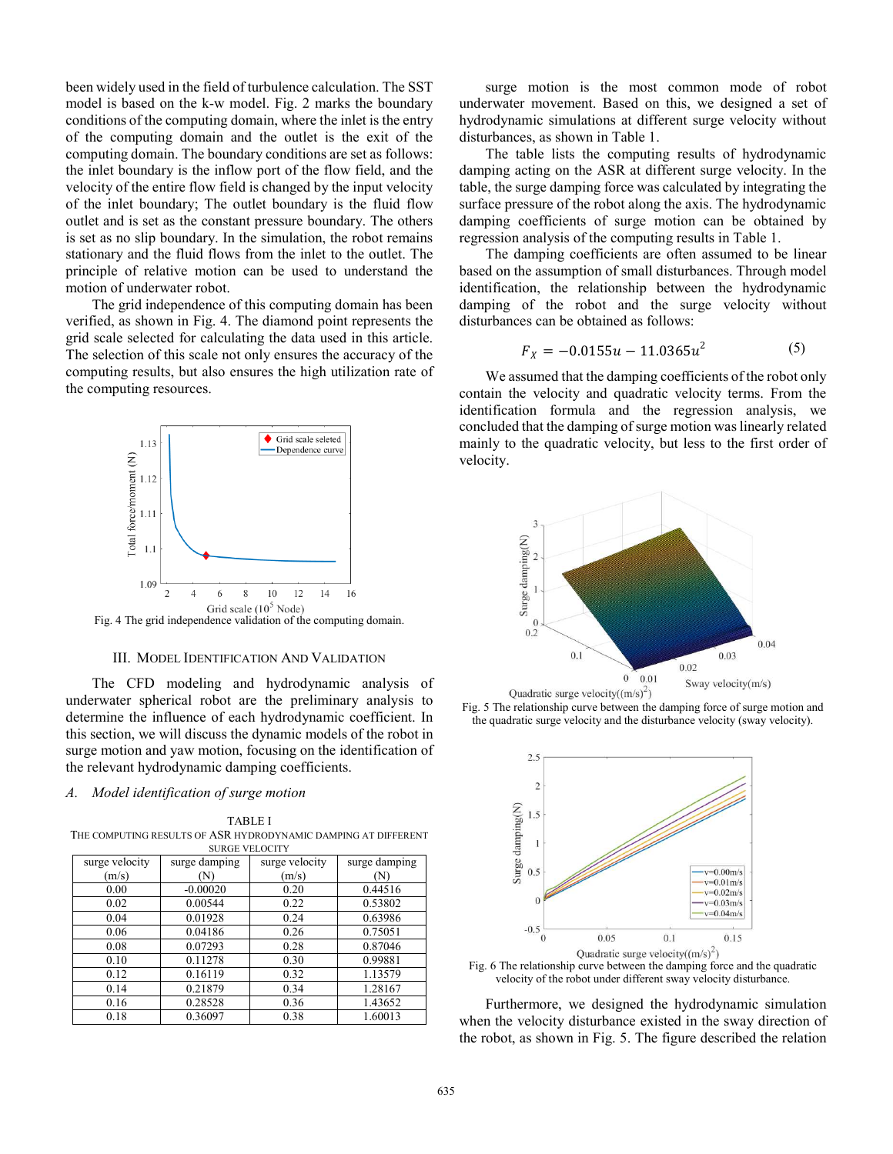been widely used in the field of turbulence calculation. The SST model is based on the k-w model. Fig. 2 marks the boundary conditions of the computing domain, where the inlet is the entry of the computing domain and the outlet is the exit of the computing domain. The boundary conditions are set as follows: the inlet boundary is the inflow port of the flow field, and the velocity of the entire flow field is changed by the input velocity of the inlet boundary; The outlet boundary is the fluid flow outlet and is set as the constant pressure boundary. The others is set as no slip boundary. In the simulation, the robot remains stationary and the fluid flows from the inlet to the outlet. The principle of relative motion can be used to understand the motion of underwater robot.

 The grid independence of this computing domain has been verified, as shown in Fig. 4. The diamond point represents the grid scale selected for calculating the data used in this article. The selection of this scale not only ensures the accuracy of the computing results, but also ensures the high utilization rate of the computing resources.



III. MODEL IDENTIFICATION AND VALIDATION

 The CFD modeling and hydrodynamic analysis of underwater spherical robot are the preliminary analysis to determine the influence of each hydrodynamic coefficient. In this section, we will discuss the dynamic models of the robot in surge motion and yaw motion, focusing on the identification of the relevant hydrodynamic damping coefficients.

## *A. Model identification of surge motion*

TABLE I THE COMPUTING RESULTS OF ASR HYDRODYNAMIC DAMPING AT DIFFERENT SURGE VELOCITY

| surge velocity | surge damping | surge velocity | surge damping |
|----------------|---------------|----------------|---------------|
| (m/s)          | (N)           | (m/s)          | (N)           |
| 0.00           | $-0.00020$    | 0.20           | 0.44516       |
| 0.02           | 0.00544       | 0.22           | 0.53802       |
| 0.04           | 0.01928       | 0.24           | 0.63986       |
| 0.06           | 0.04186       | 0.26           | 0.75051       |
| 0.08           | 0.07293       | 0.28           | 0.87046       |
| 0.10           | 0.11278       | 0.30           | 0.99881       |
| 0.12           | 0.16119       | 0.32           | 1.13579       |
| 0.14           | 0.21879       | 0.34           | 1.28167       |
| 0.16           | 0.28528       | 0.36           | 1.43652       |
| 0.18           | 0.36097       | 0.38           | 1.60013       |

 surge motion is the most common mode of robot underwater movement. Based on this, we designed a set of hydrodynamic simulations at different surge velocity without disturbances, as shown in Table 1.

 The table lists the computing results of hydrodynamic damping acting on the ASR at different surge velocity. In the table, the surge damping force was calculated by integrating the surface pressure of the robot along the axis. The hydrodynamic damping coefficients of surge motion can be obtained by regression analysis of the computing results in Table 1.

 The damping coefficients are often assumed to be linear based on the assumption of small disturbances. Through model identification, the relationship between the hydrodynamic damping of the robot and the surge velocity without disturbances can be obtained as follows:

$$
F_X = -0.0155u - 11.0365u^2 \tag{5}
$$

 We assumed that the damping coefficients of the robot only contain the velocity and quadratic velocity terms. From the identification formula and the regression analysis, we concluded that the damping of surge motion was linearly related mainly to the quadratic velocity, but less to the first order of velocity.







Fig. 6 The relationship curve between the damping force and the quadratic velocity of the robot under different sway velocity disturbance.

 Furthermore, we designed the hydrodynamic simulation when the velocity disturbance existed in the sway direction of the robot, as shown in Fig. 5. The figure described the relation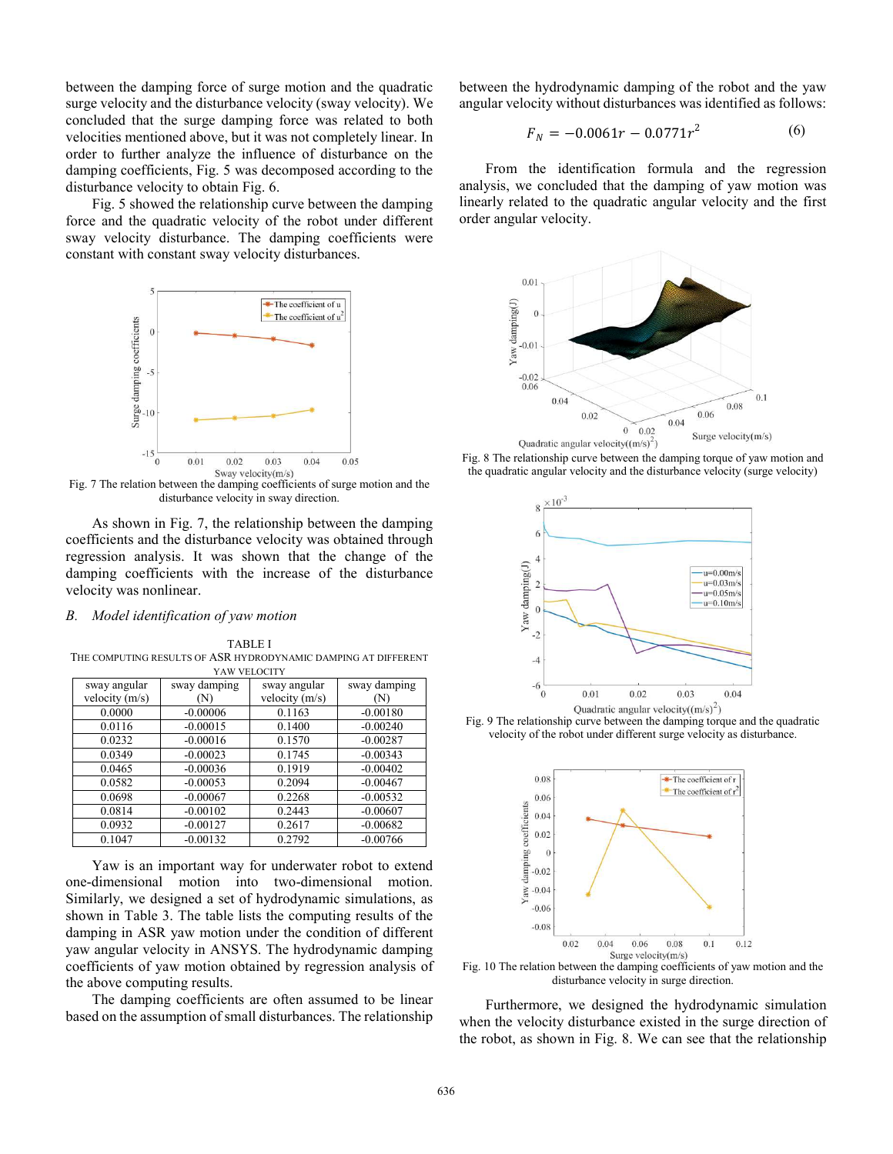between the damping force of surge motion and the quadratic surge velocity and the disturbance velocity (sway velocity). We concluded that the surge damping force was related to both velocities mentioned above, but it was not completely linear. In order to further analyze the influence of disturbance on the damping coefficients, Fig. 5 was decomposed according to the disturbance velocity to obtain Fig. 6.

 Fig. 5 showed the relationship curve between the damping force and the quadratic velocity of the robot under different sway velocity disturbance. The damping coefficients were constant with constant sway velocity disturbances.



Fig. 7 The relation between the damping coefficients of surge motion and the disturbance velocity in sway direction.

 As shown in Fig. 7, the relationship between the damping coefficients and the disturbance velocity was obtained through regression analysis. It was shown that the change of the damping coefficients with the increase of the disturbance velocity was nonlinear.

# *B. Model identification of yaw motion*

TABLE I THE COMPUTING RESULTS OF ASR HYDRODYNAMIC DAMPING AT DIFFERENT YAW VELOCITY

|            | sway angular     | sway damping |
|------------|------------------|--------------|
| (N)        | velocity $(m/s)$ | (N)          |
| $-0.00006$ | 0.1163           | $-0.00180$   |
| $-0.00015$ | 0.1400           | $-0.00240$   |
| $-0.00016$ | 0.1570           | $-0.00287$   |
| $-0.00023$ | 0.1745           | $-0.00343$   |
| $-0.00036$ | 0.1919           | $-0.00402$   |
| $-0.00053$ | 0.2094           | $-0.00467$   |
| $-0.00067$ | 0.2268           | $-0.00532$   |
| $-0.00102$ | 0.2443           | $-0.00607$   |
| $-0.00127$ | 0.2617           | $-0.00682$   |
| $-0.00132$ | 0.2792           | $-0.00766$   |
|            | sway damping     |              |

 Yaw is an important way for underwater robot to extend one-dimensional motion into two-dimensional motion. Similarly, we designed a set of hydrodynamic simulations, as shown in Table 3. The table lists the computing results of the damping in ASR yaw motion under the condition of different yaw angular velocity in ANSYS. The hydrodynamic damping coefficients of yaw motion obtained by regression analysis of the above computing results.

 The damping coefficients are often assumed to be linear based on the assumption of small disturbances. The relationship between the hydrodynamic damping of the robot and the yaw angular velocity without disturbances was identified as follows:

$$
F_N = -0.0061r - 0.0771r^2 \tag{6}
$$

 From the identification formula and the regression analysis, we concluded that the damping of yaw motion was linearly related to the quadratic angular velocity and the first order angular velocity.











Fig. 10 The relation between the damping coefficients of yaw motion and the disturbance velocity in surge direction.

 Furthermore, we designed the hydrodynamic simulation when the velocity disturbance existed in the surge direction of the robot, as shown in Fig. 8. We can see that the relationship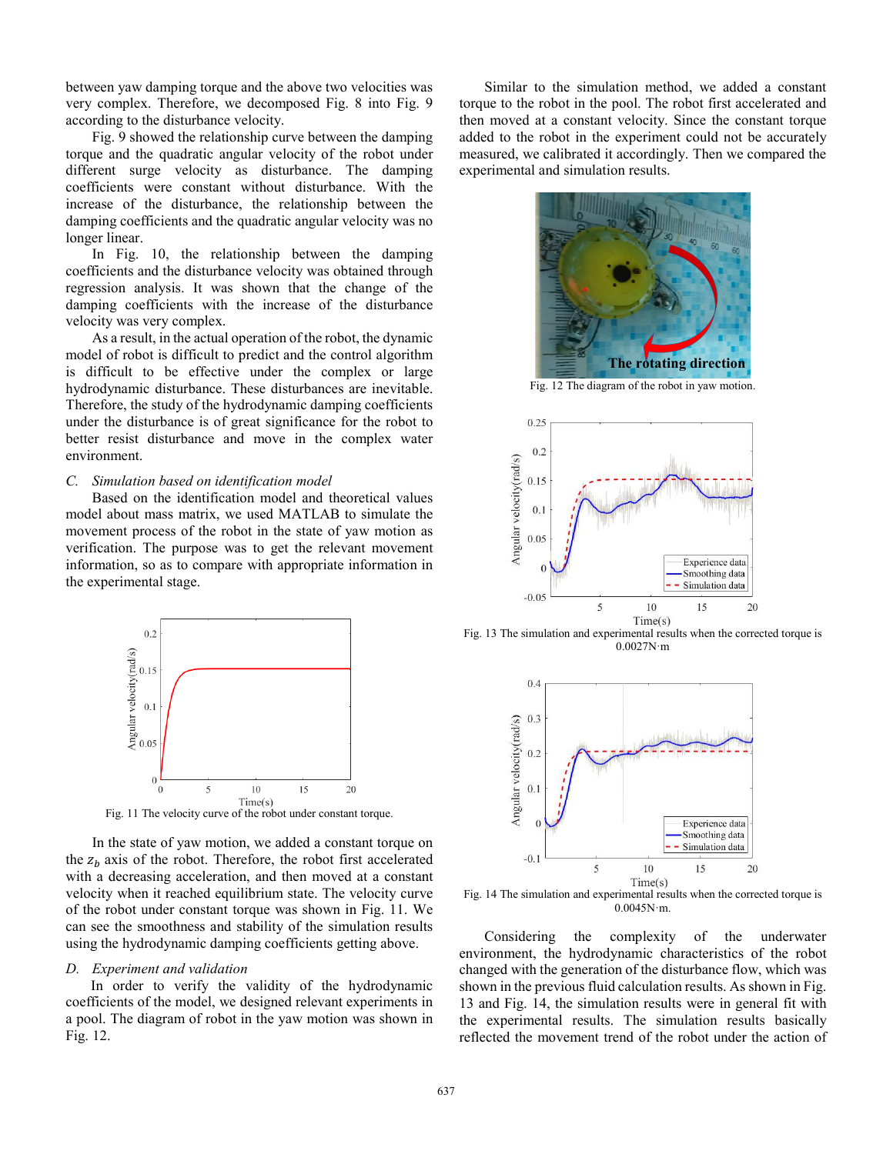between yaw damping torque and the above two velocities was very complex. Therefore, we decomposed Fig. 8 into Fig. 9 according to the disturbance velocity.

 Fig. 9 showed the relationship curve between the damping torque and the quadratic angular velocity of the robot under different surge velocity as disturbance. The damping coefficients were constant without disturbance. With the increase of the disturbance, the relationship between the damping coefficients and the quadratic angular velocity was no longer linear.

 In Fig. 10, the relationship between the damping coefficients and the disturbance velocity was obtained through regression analysis. It was shown that the change of the damping coefficients with the increase of the disturbance velocity was very complex.

 As a result, in the actual operation of the robot, the dynamic model of robot is difficult to predict and the control algorithm is difficult to be effective under the complex or large hydrodynamic disturbance. These disturbances are inevitable. Therefore, the study of the hydrodynamic damping coefficients under the disturbance is of great significance for the robot to better resist disturbance and move in the complex water environment.

# *C. Simulation based on identification model*

 Based on the identification model and theoretical values model about mass matrix, we used MATLAB to simulate the movement process of the robot in the state of yaw motion as verification. The purpose was to get the relevant movement information, so as to compare with appropriate information in the experimental stage.



Fig. 11 The velocity curve of the robot under constant torque.

 In the state of yaw motion, we added a constant torque on the  $z<sub>b</sub>$  axis of the robot. Therefore, the robot first accelerated with a decreasing acceleration, and then moved at a constant velocity when it reached equilibrium state. The velocity curve of the robot under constant torque was shown in Fig. 11. We can see the smoothness and stability of the simulation results using the hydrodynamic damping coefficients getting above.

## *D. Experiment and validation*

 In order to verify the validity of the hydrodynamic coefficients of the model, we designed relevant experiments in a pool. The diagram of robot in the yaw motion was shown in Fig. 12.

 Similar to the simulation method, we added a constant torque to the robot in the pool. The robot first accelerated and then moved at a constant velocity. Since the constant torque added to the robot in the experiment could not be accurately measured, we calibrated it accordingly. Then we compared the experimental and simulation results.



Fig. 12 The diagram of the robot in yaw motion.



Fig. 13 The simulation and experimental results when the corrected torque is 0.0027N·m



Fig. 14 The simulation and experimental results when the corrected torque is 0.0045N·m.

 Considering the complexity of the underwater environment, the hydrodynamic characteristics of the robot changed with the generation of the disturbance flow, which was shown in the previous fluid calculation results. As shown in Fig. 13 and Fig. 14, the simulation results were in general fit with the experimental results. The simulation results basically reflected the movement trend of the robot under the action of